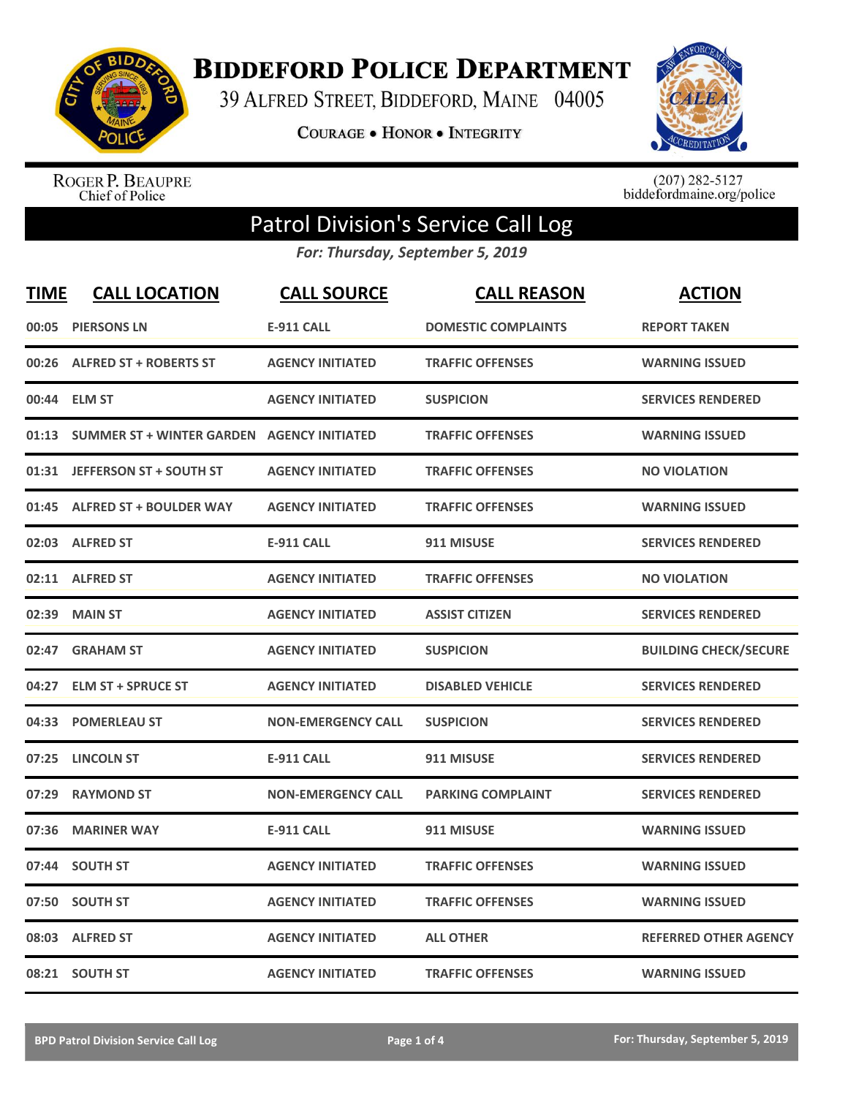

**BIDDEFORD POLICE DEPARTMENT** 

39 ALFRED STREET, BIDDEFORD, MAINE 04005

**COURAGE . HONOR . INTEGRITY** 



ROGER P. BEAUPRE<br>Chief of Police

 $(207)$  282-5127<br>biddefordmaine.org/police

## Patrol Division's Service Call Log

*For: Thursday, September 5, 2019*

| <b>TIME</b> | <b>CALL LOCATION</b>                              | <b>CALL SOURCE</b>        | <b>CALL REASON</b>         | <b>ACTION</b>                |
|-------------|---------------------------------------------------|---------------------------|----------------------------|------------------------------|
| 00:05       | <b>PIERSONS LN</b>                                | <b>E-911 CALL</b>         | <b>DOMESTIC COMPLAINTS</b> | <b>REPORT TAKEN</b>          |
| 00:26       | <b>ALFRED ST + ROBERTS ST</b>                     | <b>AGENCY INITIATED</b>   | <b>TRAFFIC OFFENSES</b>    | <b>WARNING ISSUED</b>        |
|             | 00:44 ELM ST                                      | <b>AGENCY INITIATED</b>   | <b>SUSPICION</b>           | <b>SERVICES RENDERED</b>     |
| 01:13       | <b>SUMMER ST + WINTER GARDEN AGENCY INITIATED</b> |                           | <b>TRAFFIC OFFENSES</b>    | <b>WARNING ISSUED</b>        |
| 01:31       | <b>JEFFERSON ST + SOUTH ST</b>                    | <b>AGENCY INITIATED</b>   | <b>TRAFFIC OFFENSES</b>    | <b>NO VIOLATION</b>          |
|             | 01:45 ALFRED ST + BOULDER WAY                     | <b>AGENCY INITIATED</b>   | <b>TRAFFIC OFFENSES</b>    | <b>WARNING ISSUED</b>        |
|             | 02:03 ALFRED ST                                   | <b>E-911 CALL</b>         | 911 MISUSE                 | <b>SERVICES RENDERED</b>     |
|             | 02:11 ALFRED ST                                   | <b>AGENCY INITIATED</b>   | <b>TRAFFIC OFFENSES</b>    | <b>NO VIOLATION</b>          |
| 02:39       | <b>MAIN ST</b>                                    | <b>AGENCY INITIATED</b>   | <b>ASSIST CITIZEN</b>      | <b>SERVICES RENDERED</b>     |
| 02:47       | <b>GRAHAM ST</b>                                  | <b>AGENCY INITIATED</b>   | <b>SUSPICION</b>           | <b>BUILDING CHECK/SECURE</b> |
| 04:27       | <b>ELM ST + SPRUCE ST</b>                         | <b>AGENCY INITIATED</b>   | <b>DISABLED VEHICLE</b>    | <b>SERVICES RENDERED</b>     |
|             | 04:33 POMERLEAU ST                                | <b>NON-EMERGENCY CALL</b> | <b>SUSPICION</b>           | <b>SERVICES RENDERED</b>     |
| 07:25       | <b>LINCOLN ST</b>                                 | <b>E-911 CALL</b>         | 911 MISUSE                 | <b>SERVICES RENDERED</b>     |
| 07:29       | <b>RAYMOND ST</b>                                 | <b>NON-EMERGENCY CALL</b> | <b>PARKING COMPLAINT</b>   | <b>SERVICES RENDERED</b>     |
| 07:36       | <b>MARINER WAY</b>                                | <b>E-911 CALL</b>         | 911 MISUSE                 | <b>WARNING ISSUED</b>        |
| 07:44       | <b>SOUTH ST</b>                                   | <b>AGENCY INITIATED</b>   | <b>TRAFFIC OFFENSES</b>    | <b>WARNING ISSUED</b>        |
| 07:50       | <b>SOUTH ST</b>                                   | <b>AGENCY INITIATED</b>   | <b>TRAFFIC OFFENSES</b>    | <b>WARNING ISSUED</b>        |
| 08:03       | <b>ALFRED ST</b>                                  | <b>AGENCY INITIATED</b>   | <b>ALL OTHER</b>           | <b>REFERRED OTHER AGENCY</b> |
|             | 08:21 SOUTH ST                                    | <b>AGENCY INITIATED</b>   | <b>TRAFFIC OFFENSES</b>    | <b>WARNING ISSUED</b>        |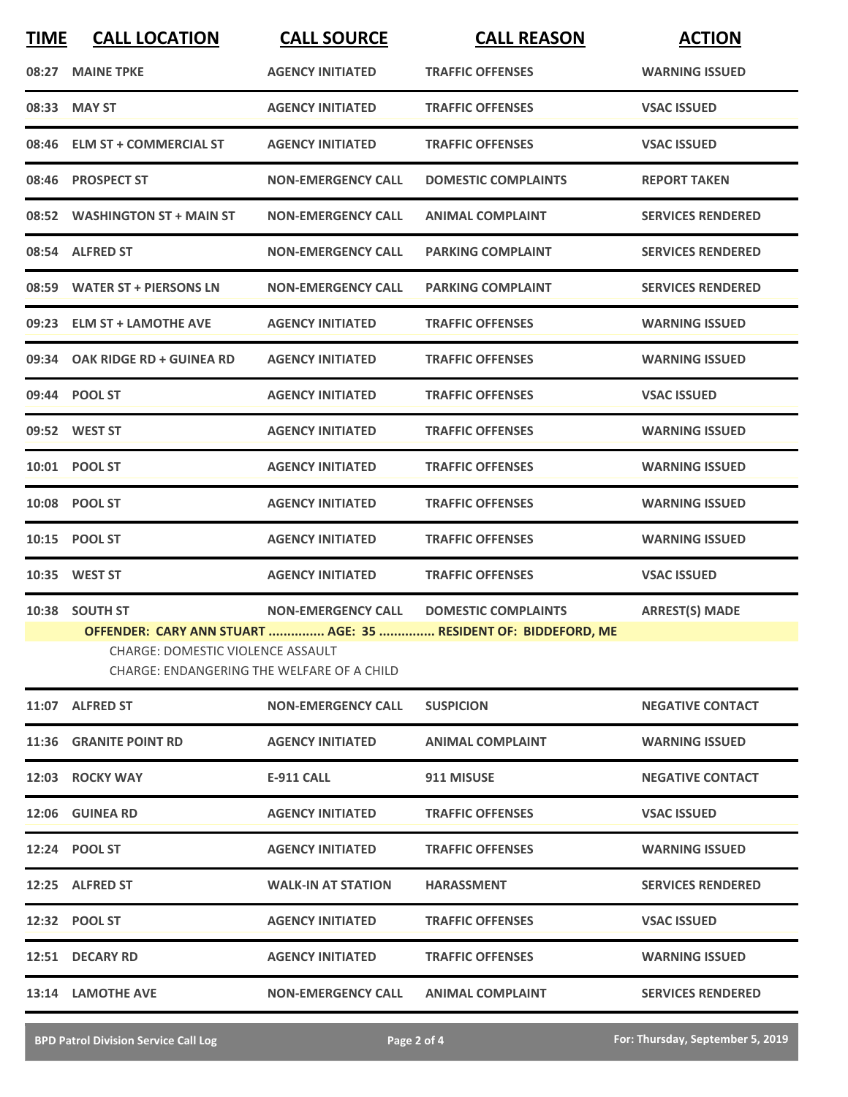| <b>TIME</b> | <b>CALL LOCATION</b>                                                                                     | <b>CALL SOURCE</b>        | <b>CALL REASON</b>                                                                                       | <b>ACTION</b>            |
|-------------|----------------------------------------------------------------------------------------------------------|---------------------------|----------------------------------------------------------------------------------------------------------|--------------------------|
| 08:27       | <b>MAINE TPKE</b>                                                                                        | <b>AGENCY INITIATED</b>   | <b>TRAFFIC OFFENSES</b>                                                                                  | <b>WARNING ISSUED</b>    |
|             | 08:33 MAY ST                                                                                             | <b>AGENCY INITIATED</b>   | <b>TRAFFIC OFFENSES</b>                                                                                  | <b>VSAC ISSUED</b>       |
|             | 08:46 ELM ST + COMMERCIAL ST                                                                             | <b>AGENCY INITIATED</b>   | <b>TRAFFIC OFFENSES</b>                                                                                  | <b>VSAC ISSUED</b>       |
|             | 08:46 PROSPECT ST                                                                                        | <b>NON-EMERGENCY CALL</b> | <b>DOMESTIC COMPLAINTS</b>                                                                               | <b>REPORT TAKEN</b>      |
|             | 08:52 WASHINGTON ST + MAIN ST                                                                            | <b>NON-EMERGENCY CALL</b> | <b>ANIMAL COMPLAINT</b>                                                                                  | <b>SERVICES RENDERED</b> |
|             | 08:54 ALFRED ST                                                                                          | <b>NON-EMERGENCY CALL</b> | <b>PARKING COMPLAINT</b>                                                                                 | <b>SERVICES RENDERED</b> |
|             | 08:59 WATER ST + PIERSONS LN                                                                             | <b>NON-EMERGENCY CALL</b> | <b>PARKING COMPLAINT</b>                                                                                 | <b>SERVICES RENDERED</b> |
|             | 09:23 ELM ST + LAMOTHE AVE                                                                               | <b>AGENCY INITIATED</b>   | <b>TRAFFIC OFFENSES</b>                                                                                  | <b>WARNING ISSUED</b>    |
| 09:34       | OAK RIDGE RD + GUINEA RD                                                                                 | <b>AGENCY INITIATED</b>   | <b>TRAFFIC OFFENSES</b>                                                                                  | <b>WARNING ISSUED</b>    |
|             | 09:44 POOL ST                                                                                            | <b>AGENCY INITIATED</b>   | <b>TRAFFIC OFFENSES</b>                                                                                  | <b>VSAC ISSUED</b>       |
|             | 09:52 WEST ST                                                                                            | <b>AGENCY INITIATED</b>   | <b>TRAFFIC OFFENSES</b>                                                                                  | <b>WARNING ISSUED</b>    |
|             | 10:01 POOL ST                                                                                            | <b>AGENCY INITIATED</b>   | <b>TRAFFIC OFFENSES</b>                                                                                  | <b>WARNING ISSUED</b>    |
|             | 10:08 POOL ST                                                                                            | <b>AGENCY INITIATED</b>   | <b>TRAFFIC OFFENSES</b>                                                                                  | <b>WARNING ISSUED</b>    |
|             | 10:15 POOL ST                                                                                            | <b>AGENCY INITIATED</b>   | <b>TRAFFIC OFFENSES</b>                                                                                  | <b>WARNING ISSUED</b>    |
|             | 10:35 WEST ST                                                                                            | <b>AGENCY INITIATED</b>   | <b>TRAFFIC OFFENSES</b>                                                                                  | <b>VSAC ISSUED</b>       |
|             | 10:38 SOUTH ST<br><b>CHARGE: DOMESTIC VIOLENCE ASSAULT</b><br>CHARGE: ENDANGERING THE WELFARE OF A CHILD |                           | NON-EMERGENCY CALL DOMESTIC COMPLAINTS<br>OFFENDER: CARY ANN STUART  AGE: 35  RESIDENT OF: BIDDEFORD, ME | <b>ARREST(S) MADE</b>    |
|             | 11:07 ALFRED ST                                                                                          | <b>NON-EMERGENCY CALL</b> | <b>SUSPICION</b>                                                                                         | <b>NEGATIVE CONTACT</b>  |
|             | 11:36 GRANITE POINT RD                                                                                   | <b>AGENCY INITIATED</b>   | <b>ANIMAL COMPLAINT</b>                                                                                  | <b>WARNING ISSUED</b>    |
|             | 12:03 ROCKY WAY                                                                                          | E-911 CALL                | 911 MISUSE                                                                                               | <b>NEGATIVE CONTACT</b>  |
|             | 12:06 GUINEA RD                                                                                          | <b>AGENCY INITIATED</b>   | <b>TRAFFIC OFFENSES</b>                                                                                  | <b>VSAC ISSUED</b>       |
|             | 12:24 POOL ST                                                                                            | <b>AGENCY INITIATED</b>   | <b>TRAFFIC OFFENSES</b>                                                                                  | <b>WARNING ISSUED</b>    |
|             | 12:25 ALFRED ST                                                                                          | <b>WALK-IN AT STATION</b> | <b>HARASSMENT</b>                                                                                        | <b>SERVICES RENDERED</b> |
|             | 12:32 POOL ST                                                                                            | <b>AGENCY INITIATED</b>   | <b>TRAFFIC OFFENSES</b>                                                                                  | <b>VSAC ISSUED</b>       |
|             | 12:51 DECARY RD                                                                                          | <b>AGENCY INITIATED</b>   | <b>TRAFFIC OFFENSES</b>                                                                                  | <b>WARNING ISSUED</b>    |
|             | 13:14 LAMOTHE AVE                                                                                        | <b>NON-EMERGENCY CALL</b> | <b>ANIMAL COMPLAINT</b>                                                                                  | <b>SERVICES RENDERED</b> |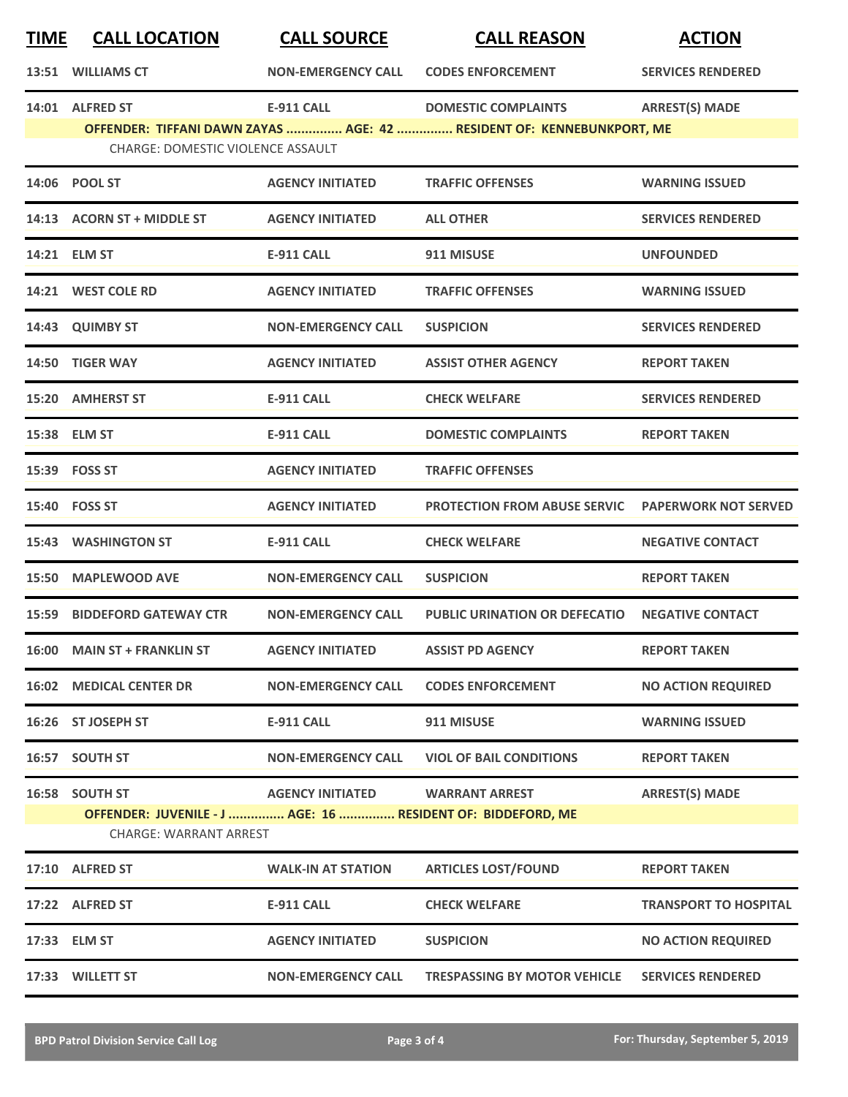| <u>TIME</u> | <b>CALL LOCATION</b>                                                                                           | <b>CALL SOURCE</b>              | <b>CALL REASON</b>                                                                                  | <b>ACTION</b>                |
|-------------|----------------------------------------------------------------------------------------------------------------|---------------------------------|-----------------------------------------------------------------------------------------------------|------------------------------|
|             | 13:51 WILLIAMS CT                                                                                              | <b>NON-EMERGENCY CALL</b>       | <b>CODES ENFORCEMENT</b>                                                                            | <b>SERVICES RENDERED</b>     |
|             | 14:01 ALFRED ST<br>CHARGE: DOMESTIC VIOLENCE ASSAULT                                                           | <b>E-911 CALL</b>               | <b>DOMESTIC COMPLAINTS</b><br>OFFENDER: TIFFANI DAWN ZAYAS  AGE: 42  RESIDENT OF: KENNEBUNKPORT, ME | <b>ARREST(S) MADE</b>        |
|             | 14:06 POOL ST                                                                                                  | <b>AGENCY INITIATED</b>         | <b>TRAFFIC OFFENSES</b>                                                                             | <b>WARNING ISSUED</b>        |
|             | 14:13 ACORN ST + MIDDLE ST                                                                                     | <b>AGENCY INITIATED</b>         | <b>ALL OTHER</b>                                                                                    | <b>SERVICES RENDERED</b>     |
|             | 14:21 ELM ST                                                                                                   | <b>E-911 CALL</b>               | 911 MISUSE                                                                                          | <b>UNFOUNDED</b>             |
|             | 14:21 WEST COLE RD                                                                                             | <b>AGENCY INITIATED</b>         | <b>TRAFFIC OFFENSES</b>                                                                             | <b>WARNING ISSUED</b>        |
|             | 14:43 QUIMBY ST                                                                                                | <b>NON-EMERGENCY CALL</b>       | <b>SUSPICION</b>                                                                                    | <b>SERVICES RENDERED</b>     |
|             | 14:50 TIGER WAY                                                                                                | <b>AGENCY INITIATED</b>         | <b>ASSIST OTHER AGENCY</b>                                                                          | <b>REPORT TAKEN</b>          |
|             | 15:20 AMHERST ST                                                                                               | <b>E-911 CALL</b>               | <b>CHECK WELFARE</b>                                                                                | <b>SERVICES RENDERED</b>     |
|             | 15:38 ELM ST                                                                                                   | <b>E-911 CALL</b>               | <b>DOMESTIC COMPLAINTS</b>                                                                          | <b>REPORT TAKEN</b>          |
|             | 15:39 FOSS ST                                                                                                  | <b>AGENCY INITIATED</b>         | <b>TRAFFIC OFFENSES</b>                                                                             |                              |
|             | 15:40 FOSS ST                                                                                                  | <b>AGENCY INITIATED</b>         | <b>PROTECTION FROM ABUSE SERVIC</b>                                                                 | <b>PAPERWORK NOT SERVED</b>  |
|             | <b>15:43 WASHINGTON ST</b>                                                                                     | <b>E-911 CALL</b>               | <b>CHECK WELFARE</b>                                                                                | <b>NEGATIVE CONTACT</b>      |
|             | 15:50 MAPLEWOOD AVE                                                                                            | <b>NON-EMERGENCY CALL</b>       | <b>SUSPICION</b>                                                                                    | <b>REPORT TAKEN</b>          |
|             | <b>15:59 BIDDEFORD GATEWAY CTR</b>                                                                             | <b>NON-EMERGENCY CALL</b>       | <b>PUBLIC URINATION OR DEFECATIO</b>                                                                | <b>NEGATIVE CONTACT</b>      |
|             | 16:00 MAIN ST + FRANKLIN ST                                                                                    | <b>AGENCY INITIATED</b>         | <b>ASSIST PD AGENCY</b>                                                                             | <b>REPORT TAKEN</b>          |
|             | <b>16:02 MEDICAL CENTER DR</b>                                                                                 | <b>NON-EMERGENCY CALL</b>       | <b>CODES ENFORCEMENT</b>                                                                            | <b>NO ACTION REQUIRED</b>    |
|             | 16:26 ST JOSEPH ST                                                                                             | <b>E-911 CALL</b>               | 911 MISUSE                                                                                          | <b>WARNING ISSUED</b>        |
|             | 16:57 SOUTH ST                                                                                                 | <b>NON-EMERGENCY CALL</b>       | <b>VIOL OF BAIL CONDITIONS</b>                                                                      | <b>REPORT TAKEN</b>          |
|             | 16:58 SOUTH ST<br>OFFENDER: JUVENILE - J  AGE: 16  RESIDENT OF: BIDDEFORD, ME<br><b>CHARGE: WARRANT ARREST</b> | AGENCY INITIATED WARRANT ARREST |                                                                                                     | <b>ARREST(S) MADE</b>        |
|             | 17:10 ALFRED ST                                                                                                | <b>WALK-IN AT STATION</b>       | <b>ARTICLES LOST/FOUND</b>                                                                          | <b>REPORT TAKEN</b>          |
|             | 17:22 ALFRED ST                                                                                                | <b>E-911 CALL</b>               | <b>CHECK WELFARE</b>                                                                                | <b>TRANSPORT TO HOSPITAL</b> |
|             | 17:33 ELM ST                                                                                                   | <b>AGENCY INITIATED</b>         | <b>SUSPICION</b>                                                                                    | <b>NO ACTION REQUIRED</b>    |
|             | 17:33 WILLETT ST                                                                                               | <b>NON-EMERGENCY CALL</b>       | <b>TRESPASSING BY MOTOR VEHICLE</b>                                                                 | <b>SERVICES RENDERED</b>     |